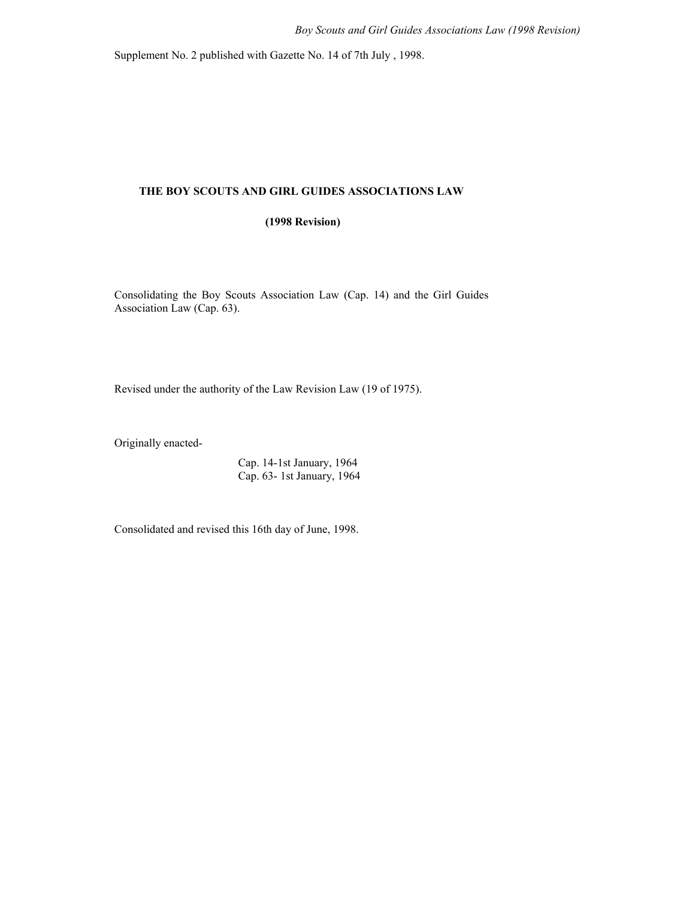Supplement No. 2 published with Gazette No. 14 of 7th July , 1998.

### **THE BOY SCOUTS AND GIRL GUIDES ASSOCIATIONS LAW**

## **(1998 Revision)**

Consolidating the Boy Scouts Association Law (Cap. 14) and the Girl Guides Association Law (Cap. 63).

Revised under the authority of the Law Revision Law (19 of 1975).

Originally enacted-

Cap. 14-1st January, 1964 Cap. 63- 1st January, 1964

Consolidated and revised this 16th day of June, 1998.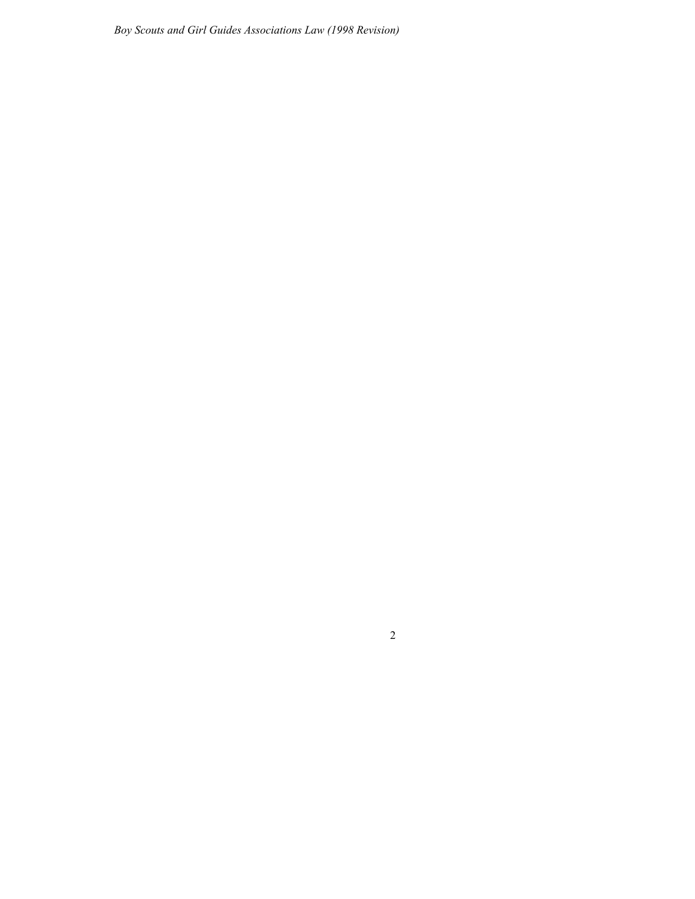*Boy Scouts and Girl Guides Associations Law (1998 Revision)*

2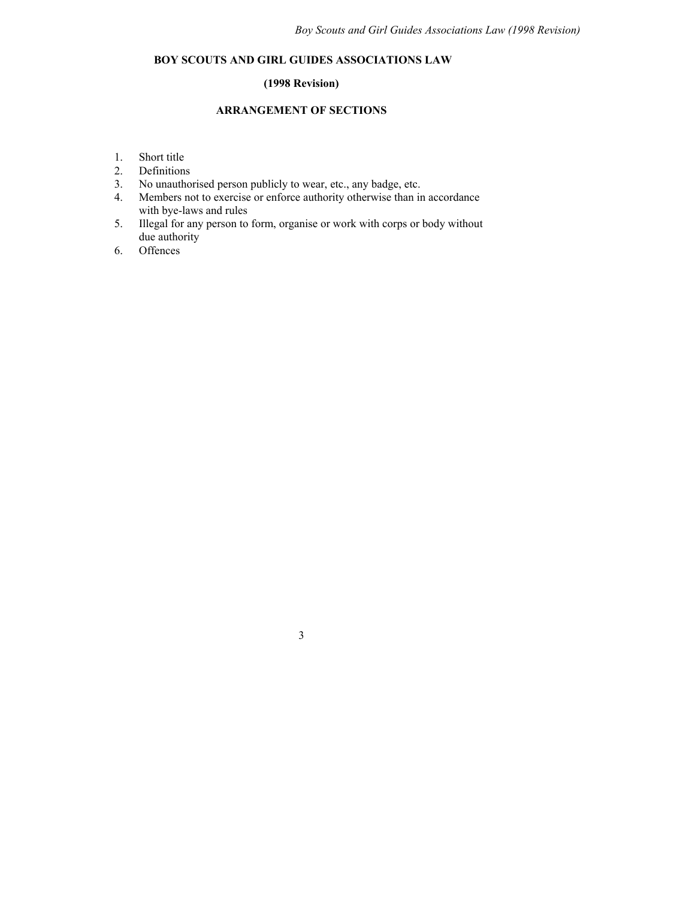## **BOY SCOUTS AND GIRL GUIDES ASSOCIATIONS LAW**

## **(1998 Revision)**

# **ARRANGEMENT OF SECTIONS**

- 1. Short title
- 2. Definitions
- 3. No unauthorised person publicly to wear, etc., any badge, etc.
- 4. Members not to exercise or enforce authority otherwise than in accordance with bye-laws and rules
- 5. Illegal for any person to form, organise or work with corps or body without due authority
- 6. Offences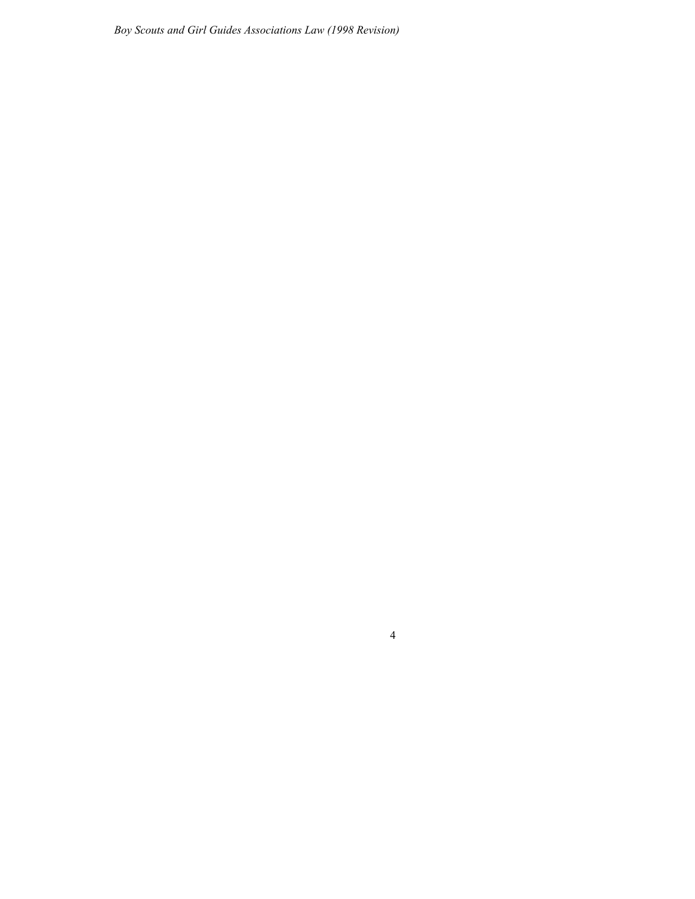*Boy Scouts and Girl Guides Associations Law (1998 Revision)*

4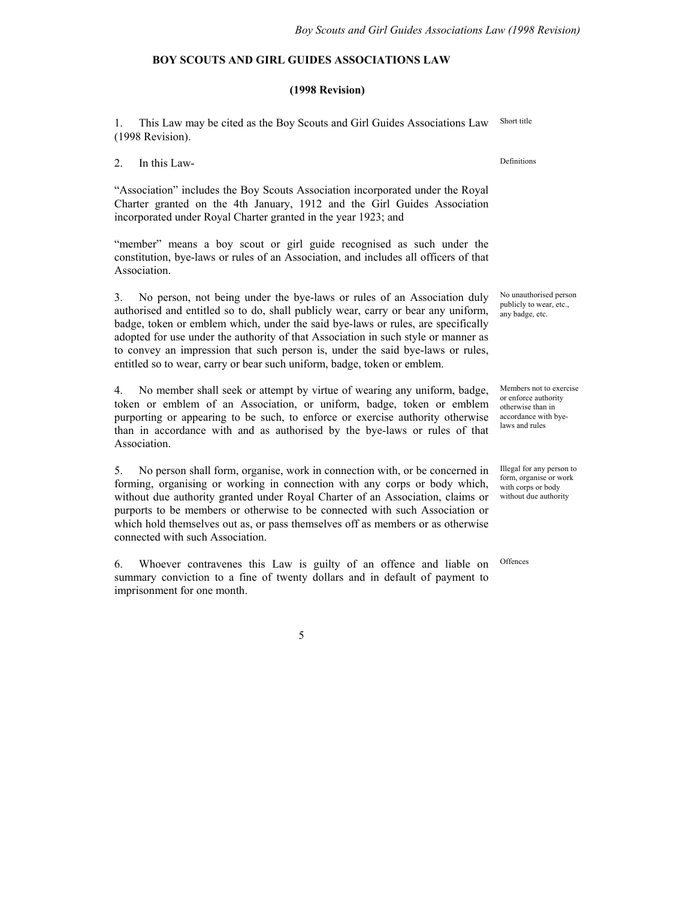#### **BOY SCOUTS AND GIRL GUIDES ASSOCIATIONS LAW**

#### **(1998 Revision)**

1. This Law may be cited as the Boy Scouts and Girl Guides Associations Law (1998 Revision). Short title

2. In this Law-

"Association" includes the Boy Scouts Association incorporated under the Royal Charter granted on the 4th January, 1912 and the Girl Guides Association incorporated under Royal Charter granted in the year 1923; and

"member" means a boy scout or girl guide recognised as such under the constitution, bye-laws or rules of an Association, and includes all officers of that Association.

3. No person, not being under the bye-laws or rules of an Association duly authorised and entitled so to do, shall publicly wear, carry or bear any uniform, badge, token or emblem which, under the said bye-laws or rules, are specifically adopted for use under the authority of that Association in such style or manner as to convey an impression that such person is, under the said bye-laws or rules, entitled so to wear, carry or bear such uniform, badge, token or emblem.

4. No member shall seek or attempt by virtue of wearing any uniform, badge, token or emblem of an Association, or uniform, badge, token or emblem purporting or appearing to be such, to enforce or exercise authority otherwise than in accordance with and as authorised by the bye-laws or rules of that Association.

5. No person shall form, organise, work in connection with, or be concerned in forming, organising or working in connection with any corps or body which, without due authority granted under Royal Charter of an Association, claims or purports to be members or otherwise to be connected with such Association or which hold themselves out as, or pass themselves off as members or as otherwise connected with such Association.

6. Whoever contravenes this Law is guilty of an offence and liable on summary conviction to a fine of twenty dollars and in default of payment to imprisonment for one month.

No unauthorised person publicly to wear, etc., any badge, etc.

Members not to exercise or enforce authority otherwise than in accordance with byelaws and rules

Illegal for any person to form, organise or work with corps or body without due authority

Offences

5